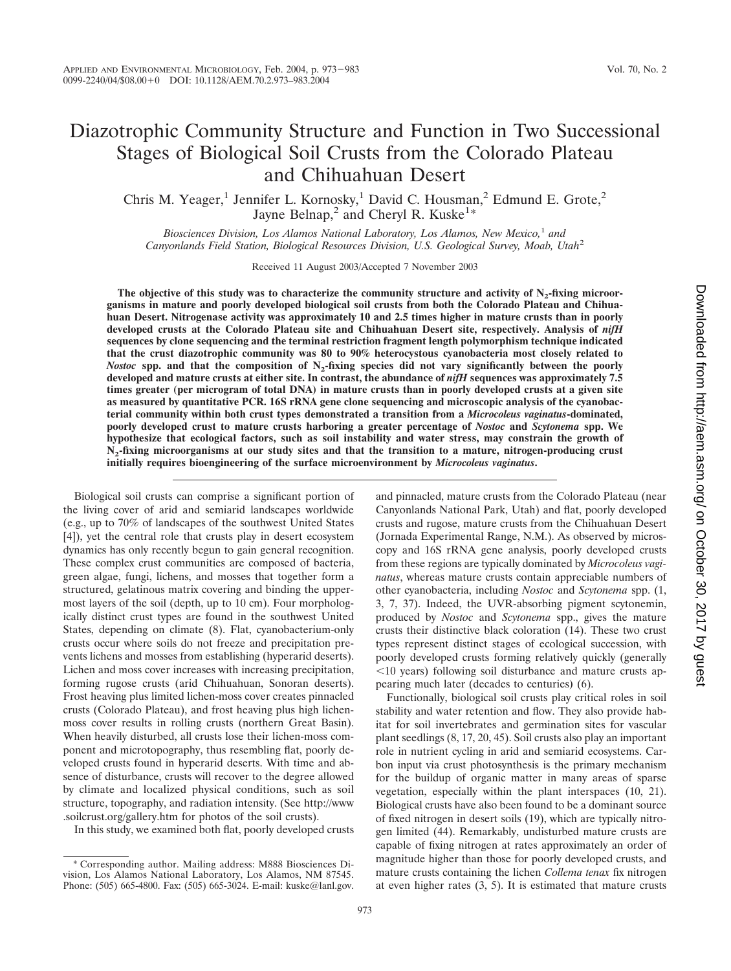# Diazotrophic Community Structure and Function in Two Successional Stages of Biological Soil Crusts from the Colorado Plateau and Chihuahuan Desert

Chris M. Yeager,<sup>1</sup> Jennifer L. Kornosky,<sup>1</sup> David C. Housman,<sup>2</sup> Edmund E. Grote,<sup>2</sup> Jayne Belnap,<sup>2</sup> and Cheryl R. Kuske<sup>1\*</sup>

*Biosciences Division, Los Alamos National Laboratory, Los Alamos, New Mexico,*<sup>1</sup> *and Canyonlands Field Station, Biological Resources Division, U.S. Geological Survey, Moab, Utah*<sup>2</sup>

Received 11 August 2003/Accepted 7 November 2003

The objective of this study was to characterize the community structure and activity of N<sub>2</sub>-fixing microor**ganisms in mature and poorly developed biological soil crusts from both the Colorado Plateau and Chihuahuan Desert. Nitrogenase activity was approximately 10 and 2.5 times higher in mature crusts than in poorly developed crusts at the Colorado Plateau site and Chihuahuan Desert site, respectively. Analysis of** *nifH* **sequences by clone sequencing and the terminal restriction fragment length polymorphism technique indicated that the crust diazotrophic community was 80 to 90% heterocystous cyanobacteria most closely related to** *Nostoc* spp. and that the composition of N<sub>2</sub>-fixing species did not vary significantly between the poorly **developed and mature crusts at either site. In contrast, the abundance of** *nifH* **sequences was approximately 7.5 times greater (per microgram of total DNA) in mature crusts than in poorly developed crusts at a given site as measured by quantitative PCR. 16S rRNA gene clone sequencing and microscopic analysis of the cyanobacterial community within both crust types demonstrated a transition from a** *Microcoleus vaginatus***-dominated, poorly developed crust to mature crusts harboring a greater percentage of** *Nostoc* **and** *Scytonema* **spp. We hypothesize that ecological factors, such as soil instability and water stress, may constrain the growth of N2-fixing microorganisms at our study sites and that the transition to a mature, nitrogen-producing crust initially requires bioengineering of the surface microenvironment by** *Microcoleus vaginatus***.**

Biological soil crusts can comprise a significant portion of the living cover of arid and semiarid landscapes worldwide (e.g., up to 70% of landscapes of the southwest United States [4]), yet the central role that crusts play in desert ecosystem dynamics has only recently begun to gain general recognition. These complex crust communities are composed of bacteria, green algae, fungi, lichens, and mosses that together form a structured, gelatinous matrix covering and binding the uppermost layers of the soil (depth, up to 10 cm). Four morphologically distinct crust types are found in the southwest United States, depending on climate (8). Flat, cyanobacterium-only crusts occur where soils do not freeze and precipitation prevents lichens and mosses from establishing (hyperarid deserts). Lichen and moss cover increases with increasing precipitation, forming rugose crusts (arid Chihuahuan, Sonoran deserts). Frost heaving plus limited lichen-moss cover creates pinnacled crusts (Colorado Plateau), and frost heaving plus high lichenmoss cover results in rolling crusts (northern Great Basin). When heavily disturbed, all crusts lose their lichen-moss component and microtopography, thus resembling flat, poorly developed crusts found in hyperarid deserts. With time and absence of disturbance, crusts will recover to the degree allowed by climate and localized physical conditions, such as soil structure, topography, and radiation intensity. (See http://www .soilcrust.org/gallery.htm for photos of the soil crusts).

In this study, we examined both flat, poorly developed crusts

and pinnacled, mature crusts from the Colorado Plateau (near Canyonlands National Park, Utah) and flat, poorly developed crusts and rugose, mature crusts from the Chihuahuan Desert (Jornada Experimental Range, N.M.). As observed by microscopy and 16S rRNA gene analysis, poorly developed crusts from these regions are typically dominated by *Microcoleus vaginatus*, whereas mature crusts contain appreciable numbers of other cyanobacteria, including *Nostoc* and *Scytonema* spp. (1, 3, 7, 37). Indeed, the UVR-absorbing pigment scytonemin, produced by *Nostoc* and *Scytonema* spp., gives the mature crusts their distinctive black coloration (14). These two crust types represent distinct stages of ecological succession, with poorly developed crusts forming relatively quickly (generally 10 years) following soil disturbance and mature crusts appearing much later (decades to centuries**)** (6).

Functionally, biological soil crusts play critical roles in soil stability and water retention and flow. They also provide habitat for soil invertebrates and germination sites for vascular plant seedlings (8, 17, 20, 45). Soil crusts also play an important role in nutrient cycling in arid and semiarid ecosystems. Carbon input via crust photosynthesis is the primary mechanism for the buildup of organic matter in many areas of sparse vegetation, especially within the plant interspaces (10, 21). Biological crusts have also been found to be a dominant source of fixed nitrogen in desert soils (19), which are typically nitrogen limited (44). Remarkably, undisturbed mature crusts are capable of fixing nitrogen at rates approximately an order of magnitude higher than those for poorly developed crusts, and mature crusts containing the lichen *Collema tenax* fix nitrogen at even higher rates (3, 5). It is estimated that mature crusts

<sup>\*</sup> Corresponding author. Mailing address: M888 Biosciences Division, Los Alamos National Laboratory, Los Alamos, NM 87545. Phone: (505) 665-4800. Fax: (505) 665-3024. E-mail: kuske@lanl.gov.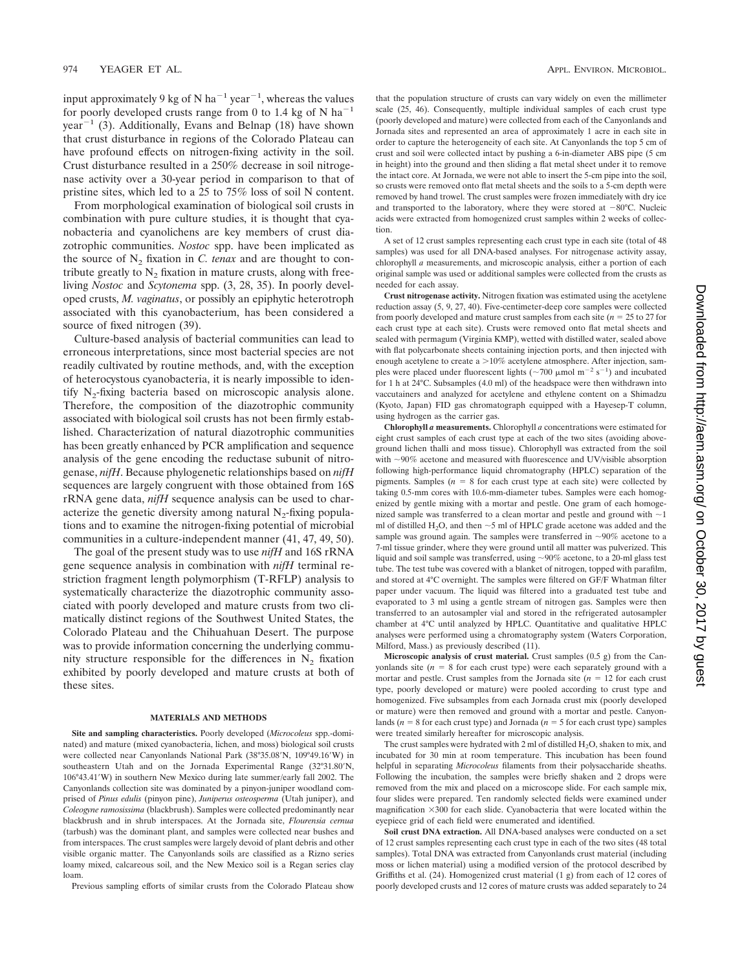input approximately 9 kg of N ha<sup>-1</sup> year<sup>-1</sup>, whereas the values for poorly developed crusts range from 0 to 1.4 kg of N ha<sup>-1</sup> year<sup>-1</sup> (3). Additionally, Evans and Belnap (18) have shown that crust disturbance in regions of the Colorado Plateau can have profound effects on nitrogen-fixing activity in the soil. Crust disturbance resulted in a 250% decrease in soil nitrogenase activity over a 30-year period in comparison to that of pristine sites, which led to a 25 to 75% loss of soil N content.

From morphological examination of biological soil crusts in combination with pure culture studies, it is thought that cyanobacteria and cyanolichens are key members of crust diazotrophic communities. *Nostoc* spp. have been implicated as the source of  $N_2$  fixation in *C. tenax* and are thought to contribute greatly to  $N_2$  fixation in mature crusts, along with freeliving *Nostoc* and *Scytonema* spp. (3, 28, 35). In poorly developed crusts, *M. vaginatus*, or possibly an epiphytic heterotroph associated with this cyanobacterium, has been considered a source of fixed nitrogen  $(39)$ .

Culture-based analysis of bacterial communities can lead to erroneous interpretations, since most bacterial species are not readily cultivated by routine methods, and, with the exception of heterocystous cyanobacteria, it is nearly impossible to identify  $N_2$ -fixing bacteria based on microscopic analysis alone. Therefore, the composition of the diazotrophic community associated with biological soil crusts has not been firmly established. Characterization of natural diazotrophic communities has been greatly enhanced by PCR amplification and sequence analysis of the gene encoding the reductase subunit of nitrogenase, *nifH*. Because phylogenetic relationships based on *nifH* sequences are largely congruent with those obtained from 16S rRNA gene data, *nifH* sequence analysis can be used to characterize the genetic diversity among natural  $N<sub>2</sub>$ -fixing populations and to examine the nitrogen-fixing potential of microbial communities in a culture-independent manner (41, 47, 49, 50).

The goal of the present study was to use *nifH* and 16S rRNA gene sequence analysis in combination with *nifH* terminal restriction fragment length polymorphism (T-RFLP) analysis to systematically characterize the diazotrophic community associated with poorly developed and mature crusts from two climatically distinct regions of the Southwest United States, the Colorado Plateau and the Chihuahuan Desert. The purpose was to provide information concerning the underlying community structure responsible for the differences in  $N<sub>2</sub>$  fixation exhibited by poorly developed and mature crusts at both of these sites.

#### **MATERIALS AND METHODS**

**Site and sampling characteristics.** Poorly developed (*Microcoleus* spp.-dominated) and mature (mixed cyanobacteria, lichen, and moss) biological soil crusts were collected near Canyonlands National Park (38°35.08'N, 109°49.16'W) in southeastern Utah and on the Jornada Experimental Range (32°31.80'N, 106°43.41W) in southern New Mexico during late summer/early fall 2002. The Canyonlands collection site was dominated by a pinyon-juniper woodland comprised of *Pinus edulis* (pinyon pine), *Juniperus osteosperma* (Utah juniper), and *Coleogyne ramosissima* (blackbrush). Samples were collected predominantly near blackbrush and in shrub interspaces. At the Jornada site, *Flourensia cernua* (tarbush) was the dominant plant, and samples were collected near bushes and from interspaces. The crust samples were largely devoid of plant debris and other visible organic matter. The Canyonlands soils are classified as a Rizno series loamy mixed, calcareous soil, and the New Mexico soil is a Regan series clay loam.

Previous sampling efforts of similar crusts from the Colorado Plateau show

that the population structure of crusts can vary widely on even the millimeter scale (25, 46). Consequently, multiple individual samples of each crust type (poorly developed and mature) were collected from each of the Canyonlands and Jornada sites and represented an area of approximately 1 acre in each site in order to capture the heterogeneity of each site. At Canyonlands the top 5 cm of crust and soil were collected intact by pushing a 6-in-diameter ABS pipe (5 cm in height) into the ground and then sliding a flat metal sheet under it to remove the intact core. At Jornada, we were not able to insert the 5-cm pipe into the soil, so crusts were removed onto flat metal sheets and the soils to a 5-cm depth were removed by hand trowel. The crust samples were frozen immediately with dry ice and transported to the laboratory, where they were stored at  $-80^{\circ}$ C. Nucleic acids were extracted from homogenized crust samples within 2 weeks of collection.

A set of 12 crust samples representing each crust type in each site (total of 48 samples) was used for all DNA-based analyses. For nitrogenase activity assay, chlorophyll *a* measurements, and microscopic analysis, either a portion of each original sample was used or additional samples were collected from the crusts as needed for each assay.

**Crust nitrogenase activity.** Nitrogen fixation was estimated using the acetylene reduction assay (5, 9, 27, 40). Five-centimeter-deep core samples were collected from poorly developed and mature crust samples from each site  $(n = 25$  to 27 for each crust type at each site). Crusts were removed onto flat metal sheets and sealed with permagum (Virginia KMP), wetted with distilled water, sealed above with flat polycarbonate sheets containing injection ports, and then injected with enough acetylene to create a  $>10\%$  acetylene atmosphere. After injection, samples were placed under fluorescent lights ( $\sim$ 700  $\mu$ mol m<sup>-2</sup> s<sup>-1</sup>) and incubated for 1 h at 24°C. Subsamples (4.0 ml) of the headspace were then withdrawn into vaccutainers and analyzed for acetylene and ethylene content on a Shimadzu (Kyoto, Japan) FID gas chromatograph equipped with a Hayesep-T column, using hydrogen as the carrier gas.

**Chlorophyll** *a* **measurements.** Chlorophyll *a* concentrations were estimated for eight crust samples of each crust type at each of the two sites (avoiding aboveground lichen thalli and moss tissue). Chlorophyll was extracted from the soil with  $\sim$ 90% acetone and measured with fluorescence and UV/visible absorption following high-performance liquid chromatography (HPLC) separation of the pigments. Samples  $(n = 8$  for each crust type at each site) were collected by taking 0.5-mm cores with 10.6-mm-diameter tubes. Samples were each homogenized by gentle mixing with a mortar and pestle. One gram of each homogenized sample was transferred to a clean mortar and pestle and ground with  $\sim$ 1 ml of distilled H<sub>2</sub>O, and then  $\sim$ 5 ml of HPLC grade acetone was added and the sample was ground again. The samples were transferred in  $\sim 90\%$  acetone to a 7-ml tissue grinder, where they were ground until all matter was pulverized. This liquid and soil sample was transferred, using  $\sim$ 90% acetone, to a 20-ml glass test tube. The test tube was covered with a blanket of nitrogen, topped with parafilm, and stored at 4°C overnight. The samples were filtered on GF/F Whatman filter paper under vacuum. The liquid was filtered into a graduated test tube and evaporated to 3 ml using a gentle stream of nitrogen gas. Samples were then transferred to an autosampler vial and stored in the refrigerated autosampler chamber at 4°C until analyzed by HPLC. Quantitative and qualitative HPLC analyses were performed using a chromatography system (Waters Corporation, Milford, Mass.) as previously described (11).

**Microscopic analysis of crust material.** Crust samples (0.5 g) from the Canyonlands site  $(n = 8$  for each crust type) were each separately ground with a mortar and pestle. Crust samples from the Jornada site  $(n = 12$  for each crust type, poorly developed or mature) were pooled according to crust type and homogenized. Five subsamples from each Jornada crust mix (poorly developed or mature) were then removed and ground with a mortar and pestle. Canyonlands ( $n = 8$  for each crust type) and Jornada ( $n = 5$  for each crust type) samples were treated similarly hereafter for microscopic analysis.

The crust samples were hydrated with 2 ml of distilled  $H_2O$ , shaken to mix, and incubated for 30 min at room temperature. This incubation has been found helpful in separating *Microcoleus* filaments from their polysaccharide sheaths. Following the incubation, the samples were briefly shaken and 2 drops were removed from the mix and placed on a microscope slide. For each sample mix, four slides were prepared. Ten randomly selected fields were examined under magnification  $\times 300$  for each slide. Cyanobacteria that were located within the eyepiece grid of each field were enumerated and identified.

**Soil crust DNA extraction.** All DNA-based analyses were conducted on a set of 12 crust samples representing each crust type in each of the two sites (48 total samples). Total DNA was extracted from Canyonlands crust material (including moss or lichen material) using a modified version of the protocol described by Griffiths et al. (24). Homogenized crust material (1 g) from each of 12 cores of poorly developed crusts and 12 cores of mature crusts was added separately to 24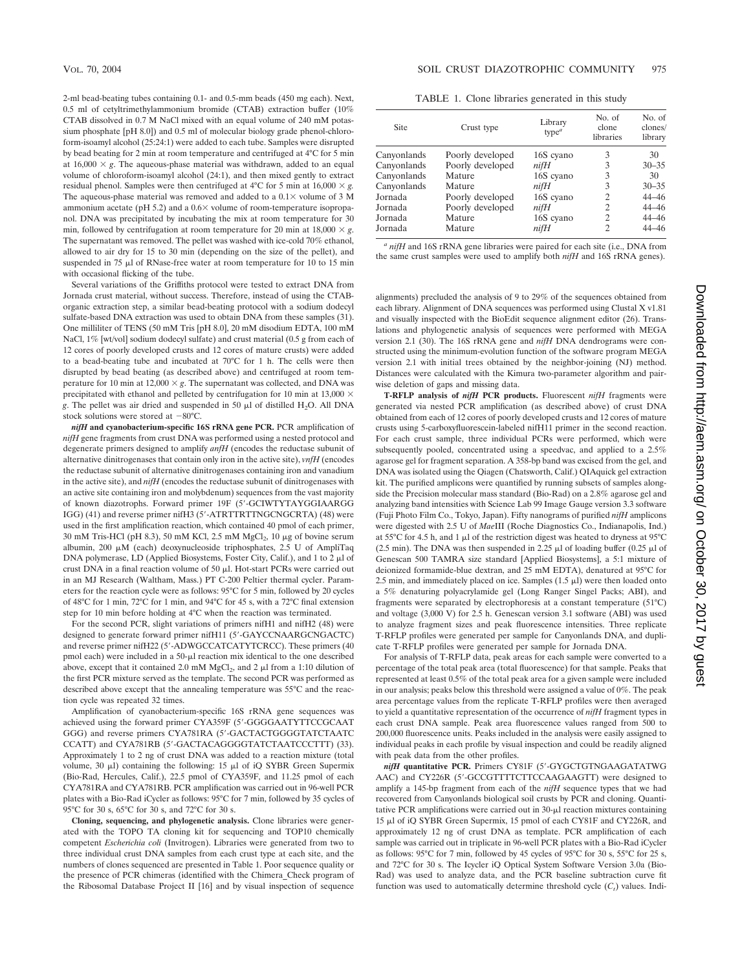2-ml bead-beating tubes containing 0.1- and 0.5-mm beads (450 mg each). Next, 0.5 ml of cetyltrimethylammonium bromide (CTAB) extraction buffer (10% CTAB dissolved in 0.7 M NaCl mixed with an equal volume of 240 mM potassium phosphate [pH 8.0]) and 0.5 ml of molecular biology grade phenol-chloroform-isoamyl alcohol (25:24:1) were added to each tube. Samples were disrupted by bead beating for 2 min at room temperature and centrifuged at 4°C for 5 min at  $16,000 \times g$ . The aqueous-phase material was withdrawn, added to an equal volume of chloroform-isoamyl alcohol (24:1), and then mixed gently to extract residual phenol. Samples were then centrifuged at 4°C for 5 min at 16,000  $\times$  g. The aqueous-phase material was removed and added to a  $0.1\times$  volume of 3 M ammonium acetate ( $pH$  5.2) and a  $0.6 \times$  volume of room-temperature isopropanol. DNA was precipitated by incubating the mix at room temperature for 30 min, followed by centrifugation at room temperature for 20 min at  $18,000 \times g$ . The supernatant was removed. The pellet was washed with ice-cold 70% ethanol, allowed to air dry for 15 to 30 min (depending on the size of the pellet), and suspended in 75  $\mu$ l of RNase-free water at room temperature for 10 to 15 min with occasional flicking of the tube.

Several variations of the Griffiths protocol were tested to extract DNA from Jornada crust material, without success. Therefore, instead of using the CTABorganic extraction step, a similar bead-beating protocol with a sodium dodecyl sulfate-based DNA extraction was used to obtain DNA from these samples (31). One milliliter of TENS (50 mM Tris [pH 8.0], 20 mM disodium EDTA, 100 mM NaCl, 1% [wt/vol] sodium dodecyl sulfate) and crust material (0.5 g from each of 12 cores of poorly developed crusts and 12 cores of mature crusts) were added to a bead-beating tube and incubated at 70°C for 1 h. The cells were then disrupted by bead beating (as described above) and centrifuged at room temperature for 10 min at  $12,000 \times g$ . The supernatant was collected, and DNA was precipitated with ethanol and pelleted by centrifugation for 10 min at 13,000  $\times$ *g*. The pellet was air dried and suspended in 50  $\mu$ l of distilled H<sub>2</sub>O. All DNA stock solutions were stored at  $-80^{\circ}$ C.

*nifH* **and cyanobacterium-specific 16S rRNA gene PCR.** PCR amplification of *nifH* gene fragments from crust DNA was performed using a nested protocol and degenerate primers designed to amplify *anfH* (encodes the reductase subunit of alternative dinitrogenases that contain only iron in the active site), *vnfH* (encodes the reductase subunit of alternative dinitrogenases containing iron and vanadium in the active site), and *nifH* (encodes the reductase subunit of dinitrogenases with an active site containing iron and molybdenum) sequences from the vast majority of known diazotrophs. Forward primer 19F (5-GCIWTYTAYGGIAARGG IGG) (41) and reverse primer nifH3 (5-ATRTTRTTNGCNGCRTA) (48) were used in the first amplification reaction, which contained 40 pmol of each primer,  $30 \text{ mM Tris-HCl (pH 8.3), } 50 \text{ mM KCl, } 2.5 \text{ mM MgCl}_2, 10 \mu g$  of bovine serum albumin, 200  $\mu$ M (each) deoxynucleoside triphosphates, 2.5 U of AmpliTaq DNA polymerase, LD (Applied Biosystems, Foster City, Calif.), and 1 to 2  $\mu$ l of crust DNA in a final reaction volume of 50 µl. Hot-start PCRs were carried out in an MJ Research (Waltham, Mass.) PT C-200 Peltier thermal cycler. Parameters for the reaction cycle were as follows: 95°C for 5 min, followed by 20 cycles of 48°C for 1 min, 72°C for 1 min, and 94°C for 45 s, with a 72°C final extension step for 10 min before holding at 4°C when the reaction was terminated.

For the second PCR, slight variations of primers nifH1 and nifH2 (48) were designed to generate forward primer nifH11 (5-GAYCCNAARGCNGACTC) and reverse primer nifH22 (5'-ADWGCCATCATYTCRCC). These primers (40 pmol each) were included in a 50- $\mu$ l reaction mix identical to the one described above, except that it contained 2.0 mM MgCl<sub>2</sub>, and 2  $\mu$ l from a 1:10 dilution of the first PCR mixture served as the template. The second PCR was performed as described above except that the annealing temperature was 55°C and the reaction cycle was repeated 32 times.

Amplification of cyanobacterium-specific 16S rRNA gene sequences was achieved using the forward primer CYA359F (5-GGGGAATYTTCCGCAAT GGG) and reverse primers CYA781RA (5-GACTACTGGGGTATCTAATC CCATT) and CYA781RB (5-GACTACAGGGGTATCTAATCCCTTT) (33). Approximately 1 to 2 ng of crust DNA was added to a reaction mixture (total volume,  $30 \mu$ ) containing the following:  $15 \mu$ l of iQ SYBR Green Supermix (Bio-Rad, Hercules, Calif.), 22.5 pmol of CYA359F, and 11.25 pmol of each CYA781RA and CYA781RB. PCR amplification was carried out in 96-well PCR plates with a Bio-Rad iCycler as follows: 95°C for 7 min, followed by 35 cycles of 95°C for 30 s, 65°C for 30 s, and 72°C for 30 s.

**Cloning, sequencing, and phylogenetic analysis.** Clone libraries were generated with the TOPO TA cloning kit for sequencing and TOP10 chemically competent *Escherichia coli* (Invitrogen). Libraries were generated from two to three individual crust DNA samples from each crust type at each site, and the numbers of clones sequenced are presented in Table 1. Poor sequence quality or the presence of PCR chimeras (identified with the Chimera\_Check program of the Ribosomal Database Project II [16] and by visual inspection of sequence

TABLE 1. Clone libraries generated in this study

| Site        | Crust type       | Library<br>type $\alpha$ | No. of<br>clone<br>libraries | No. of<br>clones/<br>library |
|-------------|------------------|--------------------------|------------------------------|------------------------------|
| Canyonlands | Poorly developed | 16S cyano                | 3                            | 30                           |
| Canyonlands | Poorly developed | nifH                     | 3                            | $30 - 35$                    |
| Canyonlands | Mature           | 16S cyano                | 3                            | 30                           |
| Canyonlands | Mature           | nifH                     | 3                            | $30 - 35$                    |
| Jornada     | Poorly developed | 16S cyano                | 2                            | $44 - 46$                    |
| Jornada     | Poorly developed | nifH                     | 2                            | $44 - 46$                    |
| Jornada     | Mature           | 16S cyano                | 2                            | $44 - 46$                    |
| Jornada     | Mature           | nifH                     | 2                            | $44 - 46$                    |

*<sup>a</sup> nifH* and 16S rRNA gene libraries were paired for each site (i.e., DNA from the same crust samples were used to amplify both *nifH* and 16S rRNA genes).

alignments) precluded the analysis of 9 to 29% of the sequences obtained from each library. Alignment of DNA sequences was performed using Clustal X v1.81 and visually inspected with the BioEdit sequence alignment editor (26). Translations and phylogenetic analysis of sequences were performed with MEGA version 2.1 (30). The 16S rRNA gene and *nifH* DNA dendrograms were constructed using the minimum-evolution function of the software program MEGA version 2.1 with initial trees obtained by the neighbor-joining (NJ) method. Distances were calculated with the Kimura two-parameter algorithm and pairwise deletion of gaps and missing data.

**T-RFLP analysis of** *nifH* **PCR products.** Fluorescent *nifH* fragments were generated via nested PCR amplification (as described above) of crust DNA obtained from each of 12 cores of poorly developed crusts and 12 cores of mature crusts using 5-carboxyfluorescein-labeled nifH11 primer in the second reaction. For each crust sample, three individual PCRs were performed, which were subsequently pooled, concentrated using a speedvac, and applied to a 2.5% agarose gel for fragment separation. A 358-bp band was excised from the gel, and DNA was isolated using the Qiagen (Chatsworth, Calif.) QIAquick gel extraction kit. The purified amplicons were quantified by running subsets of samples alongside the Precision molecular mass standard (Bio-Rad) on a 2.8% agarose gel and analyzing band intensities with Science Lab 99 Image Gauge version 3.3 software (Fuji Photo Film Co., Tokyo, Japan). Fifty nanograms of purified *nifH* amplicons were digested with 2.5 U of *Mae*III (Roche Diagnostics Co., Indianapolis, Ind.) at 55 $^{\circ}$ C for 4.5 h, and 1 µ of the restriction digest was heated to dryness at 95 $^{\circ}$ C (2.5 min). The DNA was then suspended in 2.25  $\mu$ l of loading buffer (0.25  $\mu$ l of Genescan 500 TAMRA size standard [Applied Biosystems], a 5:1 mixture of deionized formamide-blue dextran, and 25 mM EDTA), denatured at 95°C for 2.5 min, and immediately placed on ice. Samples  $(1.5 \mu l)$  were then loaded onto a 5% denaturing polyacrylamide gel (Long Ranger Singel Packs; ABI), and fragments were separated by electrophoresis at a constant temperature (51°C) and voltage (3,000 V) for 2.5 h. Genescan version 3.1 software (ABI) was used to analyze fragment sizes and peak fluorescence intensities. Three replicate T-RFLP profiles were generated per sample for Canyonlands DNA, and duplicate T-RFLP profiles were generated per sample for Jornada DNA.

For analysis of T-RFLP data, peak areas for each sample were converted to a percentage of the total peak area (total fluorescence) for that sample. Peaks that represented at least 0.5% of the total peak area for a given sample were included in our analysis; peaks below this threshold were assigned a value of 0%. The peak area percentage values from the replicate T-RFLP profiles were then averaged to yield a quantitative representation of the occurrence of *nifH* fragment types in each crust DNA sample. Peak area fluorescence values ranged from 500 to 200,000 fluorescence units. Peaks included in the analysis were easily assigned to individual peaks in each profile by visual inspection and could be readily aligned with peak data from the other profiles.

*nifH* **quantitative PCR.** Primers CY81F (5-GYGCTGTNGAAGATATWG AAC) and CY226R (5'-GCCGTTTTCTTCCAAGAAGTT) were designed to amplify a 145-bp fragment from each of the *nifH* sequence types that we had recovered from Canyonlands biological soil crusts by PCR and cloning. Quantitative PCR amplifications were carried out in  $30$ - $\mu$ l reaction mixtures containing 15 µl of iQ SYBR Green Supermix, 15 pmol of each CY81F and CY226R, and approximately 12 ng of crust DNA as template. PCR amplification of each sample was carried out in triplicate in 96-well PCR plates with a Bio-Rad iCycler as follows:  $95^{\circ}$ C for 7 min, followed by 45 cycles of  $95^{\circ}$ C for 30 s,  $55^{\circ}$ C for 25 s, and 72°C for 30 s. The Icycler iQ Optical System Software Version 3.0a (Bio-Rad) was used to analyze data, and the PCR baseline subtraction curve fit function was used to automatically determine threshold cycle  $(C<sub>t</sub>)$  values. Indi-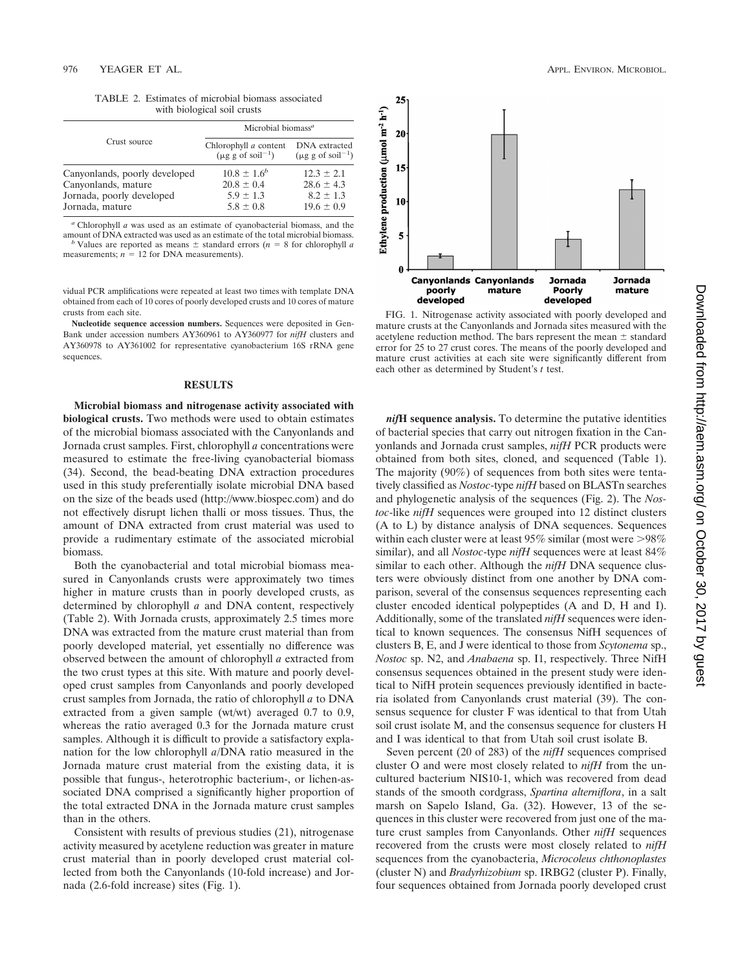TABLE 2. Estimates of microbial biomass associated with biological soil crusts

|                                                      | Microbial biomass <sup>a</sup>                           |                                                           |  |
|------------------------------------------------------|----------------------------------------------------------|-----------------------------------------------------------|--|
| Crust source                                         | Chlorophyll a content<br>$(\mu \text{g g of soil}^{-1})$ | DNA extracted<br>$(\mu g g \text{ of } \text{soil}^{-1})$ |  |
| Canyonlands, poorly developed<br>Canyonlands, mature | $10.8 \pm 1.6^b$<br>$20.8 \pm 0.4$                       | $12.3 + 2.1$<br>$28.6 \pm 4.3$                            |  |
| Jornada, poorly developed                            | $5.9 \pm 1.3$                                            | $8.2 \pm 1.3$                                             |  |
| Jornada, mature                                      | $5.8 \pm 0.8$                                            | $19.6 \pm 0.9$                                            |  |

 $a$  Chlorophyll  $a$  was used as an estimate of cyanobacterial biomass, and the amount of DNA extracted was used as an estimate of the total microbial biomass.

amount of DNA extracted was used as an estimate of the total microbial biomass.<br>*b* Values are reported as means  $\pm$  standard errors (*n* = 8 for chlorophyll *a* measurements;  $n = 12$  for DNA measurements).

vidual PCR amplifications were repeated at least two times with template DNA obtained from each of 10 cores of poorly developed crusts and 10 cores of mature crusts from each site.

**Nucleotide sequence accession numbers.** Sequences were deposited in Gen-Bank under accession numbers AY360961 to AY360977 for *nifH* clusters and AY360978 to AY361002 for representative cyanobacterium 16S rRNA gene sequences.

## **RESULTS**

**Microbial biomass and nitrogenase activity associated with biological crusts.** Two methods were used to obtain estimates of the microbial biomass associated with the Canyonlands and Jornada crust samples. First, chlorophyll *a* concentrations were measured to estimate the free-living cyanobacterial biomass (34). Second, the bead-beating DNA extraction procedures used in this study preferentially isolate microbial DNA based on the size of the beads used (http://www.biospec.com) and do not effectively disrupt lichen thalli or moss tissues. Thus, the amount of DNA extracted from crust material was used to provide a rudimentary estimate of the associated microbial biomass.

Both the cyanobacterial and total microbial biomass measured in Canyonlands crusts were approximately two times higher in mature crusts than in poorly developed crusts, as determined by chlorophyll *a* and DNA content, respectively (Table 2). With Jornada crusts, approximately 2.5 times more DNA was extracted from the mature crust material than from poorly developed material, yet essentially no difference was observed between the amount of chlorophyll *a* extracted from the two crust types at this site. With mature and poorly developed crust samples from Canyonlands and poorly developed crust samples from Jornada, the ratio of chlorophyll *a* to DNA extracted from a given sample (wt/wt) averaged 0.7 to 0.9, whereas the ratio averaged 0.3 for the Jornada mature crust samples. Although it is difficult to provide a satisfactory explanation for the low chlorophyll *a*/DNA ratio measured in the Jornada mature crust material from the existing data, it is possible that fungus-, heterotrophic bacterium-, or lichen-associated DNA comprised a significantly higher proportion of the total extracted DNA in the Jornada mature crust samples than in the others.

Consistent with results of previous studies (21), nitrogenase activity measured by acetylene reduction was greater in mature crust material than in poorly developed crust material collected from both the Canyonlands (10-fold increase) and Jornada (2.6-fold increase) sites (Fig. 1).



FIG. 1. Nitrogenase activity associated with poorly developed and mature crusts at the Canyonlands and Jornada sites measured with the acetylene reduction method. The bars represent the mean  $\pm$  standard error for 25 to 27 crust cores. The means of the poorly developed and mature crust activities at each site were significantly different from each other as determined by Student's *t* test.

*nif***H sequence analysis.** To determine the putative identities of bacterial species that carry out nitrogen fixation in the Canyonlands and Jornada crust samples, *nifH* PCR products were obtained from both sites, cloned, and sequenced (Table 1). The majority (90%) of sequences from both sites were tentatively classified as *Nostoc*-type *nifH* based on BLASTn searches and phylogenetic analysis of the sequences (Fig. 2). The *Nostoc*-like *nifH* sequences were grouped into 12 distinct clusters (A to L) by distance analysis of DNA sequences. Sequences within each cluster were at least  $95\%$  similar (most were  $>98\%$ similar), and all *Nostoc*-type *nifH* sequences were at least 84% similar to each other. Although the *nifH* DNA sequence clusters were obviously distinct from one another by DNA comparison, several of the consensus sequences representing each cluster encoded identical polypeptides (A and D, H and I). Additionally, some of the translated *nifH* sequences were identical to known sequences. The consensus NifH sequences of clusters B, E, and J were identical to those from *Scytonema* sp., *Nostoc* sp. N2, and *Anabaena* sp. I1, respectively. Three NifH consensus sequences obtained in the present study were identical to NifH protein sequences previously identified in bacteria isolated from Canyonlands crust material (39). The consensus sequence for cluster F was identical to that from Utah soil crust isolate M, and the consensus sequence for clusters H and I was identical to that from Utah soil crust isolate B.

Seven percent (20 of 283) of the *nifH* sequences comprised cluster O and were most closely related to *nifH* from the uncultured bacterium NIS10-1, which was recovered from dead stands of the smooth cordgrass, *Spartina alterniflora*, in a salt marsh on Sapelo Island, Ga. (32). However, 13 of the sequences in this cluster were recovered from just one of the mature crust samples from Canyonlands. Other *nifH* sequences recovered from the crusts were most closely related to *nifH* sequences from the cyanobacteria, *Microcoleus chthonoplastes* (cluster N) and *Bradyrhizobium* sp. IRBG2 (cluster P). Finally, four sequences obtained from Jornada poorly developed crust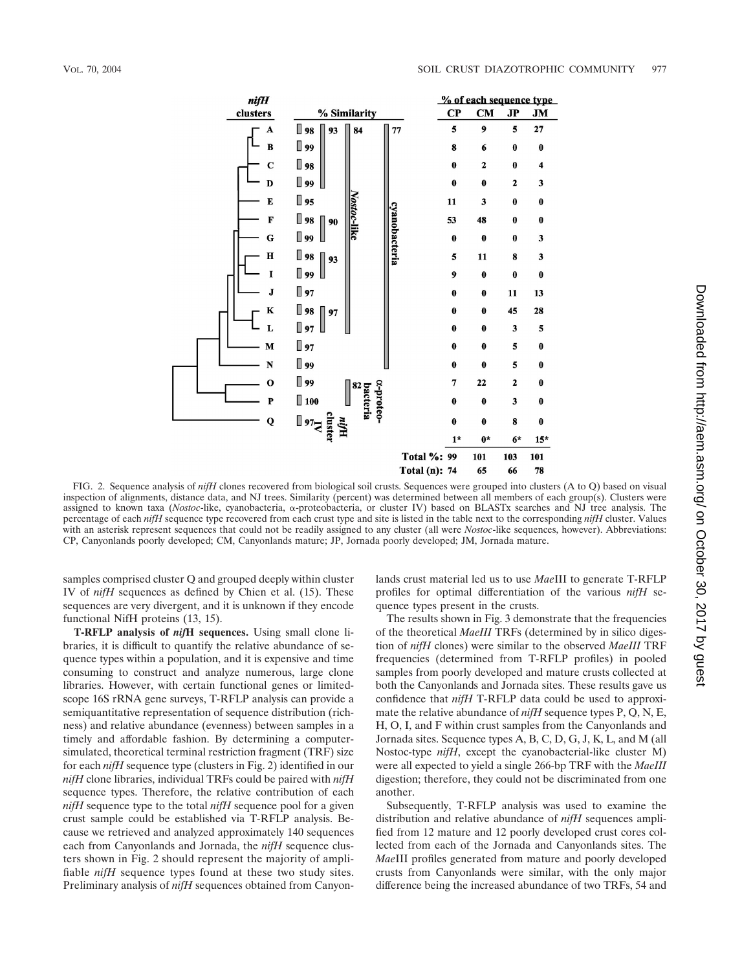

FIG. 2. Sequence analysis of *nifH* clones recovered from biological soil crusts. Sequences were grouped into clusters (A to Q) based on visual inspection of alignments, distance data, and NJ trees. Similarity (percent) was determined between all members of each group(s). Clusters were assigned to known taxa (*Nostoc-like*, cyanobacteria,  $\alpha$ -proteobacteria, or cluster IV) based on BLASTx searches and NJ tree analysis. The percentage of each *nifH* sequence type recovered from each crust type and site is listed in the table next to the corresponding *nifH* cluster. Values with an asterisk represent sequences that could not be readily assigned to any cluster (all were *Nostoc*-like sequences, however). Abbreviations: CP, Canyonlands poorly developed; CM, Canyonlands mature; JP, Jornada poorly developed; JM, Jornada mature.

samples comprised cluster Q and grouped deeply within cluster IV of *nifH* sequences as defined by Chien et al. (15). These sequences are very divergent, and it is unknown if they encode functional NifH proteins (13, 15).

**T-RFLP analysis of** *nif***H sequences.** Using small clone libraries, it is difficult to quantify the relative abundance of sequence types within a population, and it is expensive and time consuming to construct and analyze numerous, large clone libraries. However, with certain functional genes or limitedscope 16S rRNA gene surveys, T-RFLP analysis can provide a semiquantitative representation of sequence distribution (richness) and relative abundance (evenness) between samples in a timely and affordable fashion. By determining a computersimulated, theoretical terminal restriction fragment (TRF) size for each *nifH* sequence type (clusters in Fig. 2) identified in our *nifH* clone libraries, individual TRFs could be paired with *nifH* sequence types. Therefore, the relative contribution of each *nifH* sequence type to the total *nifH* sequence pool for a given crust sample could be established via T-RFLP analysis. Because we retrieved and analyzed approximately 140 sequences each from Canyonlands and Jornada, the *nifH* sequence clusters shown in Fig. 2 should represent the majority of amplifiable *nifH* sequence types found at these two study sites. Preliminary analysis of *nifH* sequences obtained from Canyonlands crust material led us to use *Mae*III to generate T-RFLP profiles for optimal differentiation of the various *nifH* sequence types present in the crusts.

The results shown in Fig. 3 demonstrate that the frequencies of the theoretical *MaeIII* TRFs (determined by in silico digestion of *nifH* clones) were similar to the observed *MaeIII* TRF frequencies (determined from T-RFLP profiles) in pooled samples from poorly developed and mature crusts collected at both the Canyonlands and Jornada sites. These results gave us confidence that *nifH* T-RFLP data could be used to approximate the relative abundance of *nifH* sequence types P, Q, N, E, H, O, I, and F within crust samples from the Canyonlands and Jornada sites. Sequence types A, B, C, D, G, J, K, L, and M (all Nostoc-type *nifH*, except the cyanobacterial-like cluster M) were all expected to yield a single 266-bp TRF with the *MaeIII* digestion; therefore, they could not be discriminated from one another.

Subsequently, T-RFLP analysis was used to examine the distribution and relative abundance of *nifH* sequences amplified from 12 mature and 12 poorly developed crust cores collected from each of the Jornada and Canyonlands sites. The *Mae*III profiles generated from mature and poorly developed crusts from Canyonlands were similar, with the only major difference being the increased abundance of two TRFs, 54 and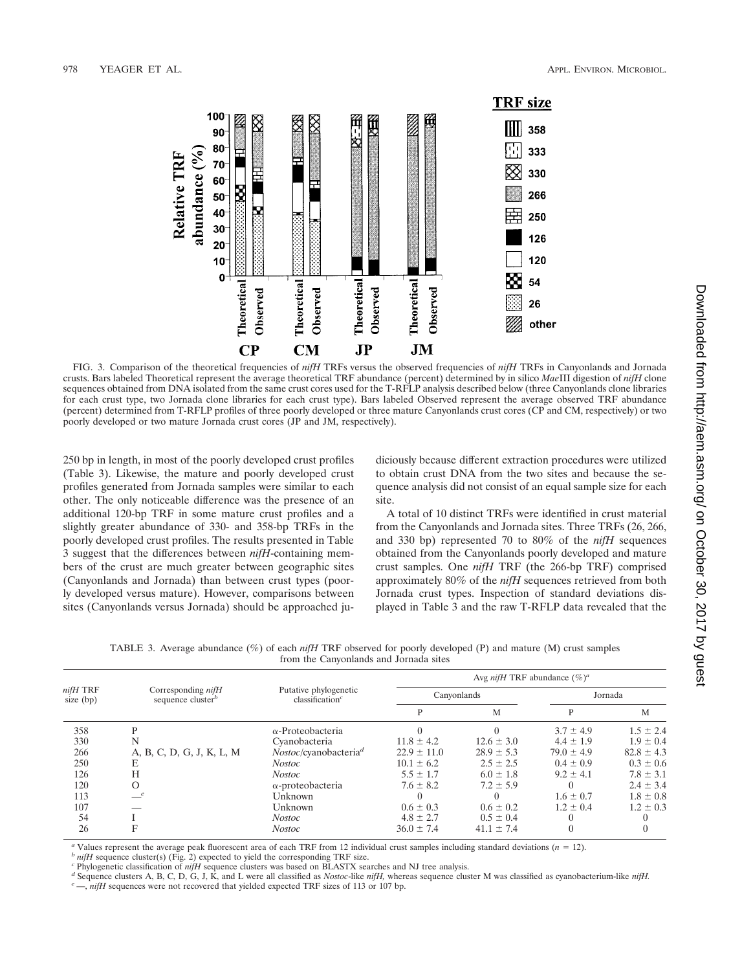

FIG. 3. Comparison of the theoretical frequencies of *nifH* TRFs versus the observed frequencies of *nifH* TRFs in Canyonlands and Jornada crusts. Bars labeled Theoretical represent the average theoretical TRF abundance (percent) determined by in silico *Mae*III digestion of *nifH* clone sequences obtained from DNA isolated from the same crust cores used for the T-RFLP analysis described below (three Canyonlands clone libraries for each crust type, two Jornada clone libraries for each crust type). Bars labeled Observed represent the average observed TRF abundance (percent) determined from T-RFLP profiles of three poorly developed or three mature Canyonlands crust cores (CP and CM, respectively) or two poorly developed or two mature Jornada crust cores (JP and JM, respectively).

250 bp in length, in most of the poorly developed crust profiles (Table 3). Likewise, the mature and poorly developed crust profiles generated from Jornada samples were similar to each other. The only noticeable difference was the presence of an additional 120-bp TRF in some mature crust profiles and a slightly greater abundance of 330- and 358-bp TRFs in the poorly developed crust profiles. The results presented in Table 3 suggest that the differences between *nifH*-containing members of the crust are much greater between geographic sites (Canyonlands and Jornada) than between crust types (poorly developed versus mature). However, comparisons between sites (Canyonlands versus Jornada) should be approached judiciously because different extraction procedures were utilized to obtain crust DNA from the two sites and because the sequence analysis did not consist of an equal sample size for each site.

A total of 10 distinct TRFs were identified in crust material from the Canyonlands and Jornada sites. Three TRFs (26, 266, and 330 bp) represented 70 to 80% of the *nifH* sequences obtained from the Canyonlands poorly developed and mature crust samples. One *nifH* TRF (the 266-bp TRF) comprised approximately 80% of the *nifH* sequences retrieved from both Jornada crust types. Inspection of standard deviations displayed in Table 3 and the raw T-RFLP data revealed that the

TABLE 3. Average abundance (%) of each *nifH* TRF observed for poorly developed (P) and mature (M) crust samples from the Canyonlands and Jornada sites

|                       | Corresponding <i>nifH</i><br>sequence cluster <sup>b</sup> | Putative phylogenetic<br>classification <sup><math>c</math></sup> | Avg <i>nifH</i> TRF abundance $(\%)^a$ |                |                |                |
|-----------------------|------------------------------------------------------------|-------------------------------------------------------------------|----------------------------------------|----------------|----------------|----------------|
| nifH TRF<br>size (bp) |                                                            |                                                                   | Canyonlands                            |                | Jornada        |                |
|                       |                                                            |                                                                   | P                                      | M              | P              | M              |
| 358                   | D                                                          | $\alpha$ -Proteobacteria                                          |                                        |                | $3.7 \pm 4.9$  | $1.5 \pm 2.4$  |
| 330                   |                                                            | Cvanobacteria                                                     | $11.8 \pm 4.2$                         | $12.6 \pm 3.0$ | $4.4 \pm 1.9$  | $1.9 \pm 0.4$  |
| 266                   | A, B, C, D, G, J, K, L, M                                  | Nostoc/cyanobacteria <sup>d</sup>                                 | $22.9 \pm 11.0$                        | $28.9 \pm 5.3$ | $79.0 \pm 4.9$ | $82.8 \pm 4.3$ |
| 250                   |                                                            | Nostoc                                                            | $10.1 \pm 6.2$                         | $2.5 \pm 2.5$  | $0.4 \pm 0.9$  | $0.3 \pm 0.6$  |
| 126                   | H                                                          | Nostoc                                                            | $5.5 \pm 1.7$                          | $6.0 \pm 1.8$  | $9.2 \pm 4.1$  | $7.8 \pm 3.1$  |
| 120                   |                                                            | $\alpha$ -proteobacteria                                          | $7.6 \pm 8.2$                          | $7.2 \pm 5.9$  |                | $2.4 \pm 3.4$  |
| 113                   |                                                            | Unknown                                                           |                                        |                | $1.6 \pm 0.7$  | $1.8 \pm 0.8$  |
| 107                   |                                                            | Unknown                                                           | $0.6 \pm 0.3$                          | $0.6 \pm 0.2$  | $1.2 \pm 0.4$  | $1.2 \pm 0.3$  |
| 54                    |                                                            | <i>Nostoc</i>                                                     | $4.8 \pm 2.7$                          | $0.5 \pm 0.4$  |                |                |
| 26                    |                                                            | <b>Nostoc</b>                                                     | $36.0 \pm 7.4$                         | $41.1 \pm 7.4$ |                |                |

<sup>*a*</sup> Values represent the average peak fluorescent area of each TRF from 12 individual crust samples including standard deviations ( $n = 12$ ).<br>
<sup>*b*</sup> *nifH* sequence cluster(s) (Fig. 2) expected to yield the corresponding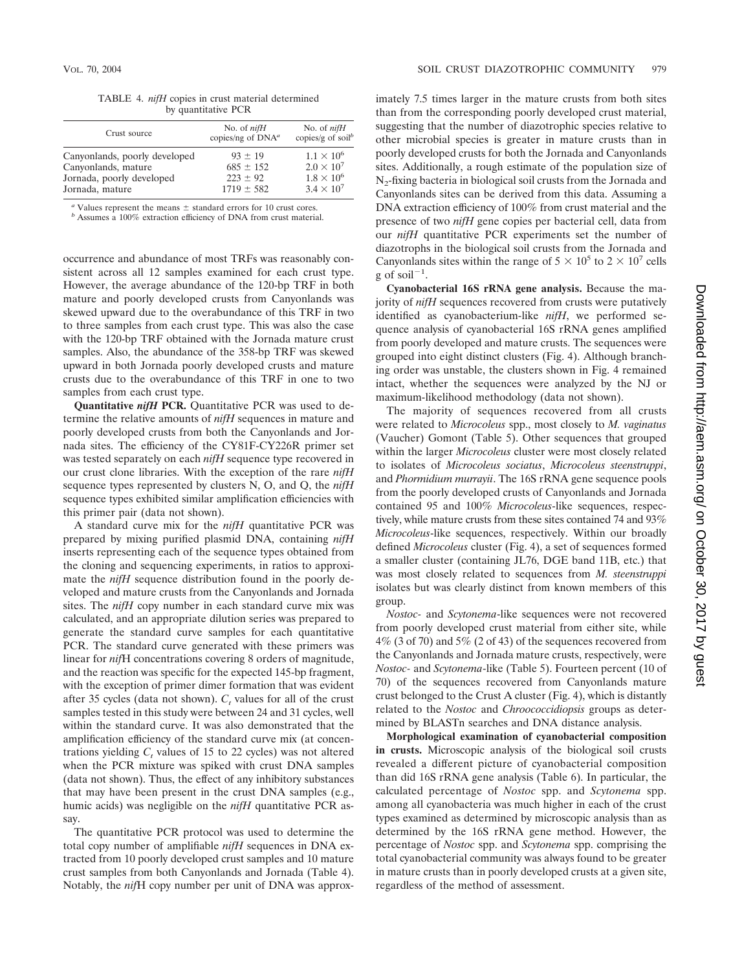TABLE 4. *nifH* copies in crust material determined by quantitative PCR

| Crust source                                                                                         | No. of $nifH$<br>copies/ng of DNA <sup>a</sup>               | No. of $niH$<br>copies/g of soil <sup>b</sup>                                          |
|------------------------------------------------------------------------------------------------------|--------------------------------------------------------------|----------------------------------------------------------------------------------------|
| Canyonlands, poorly developed<br>Canyonlands, mature<br>Jornada, poorly developed<br>Jornada, mature | $93 + 19$<br>$685 \pm 152$<br>$223 \pm 92$<br>$1719 \pm 582$ | $1.1 \times 10^{6}$<br>$2.0 \times 10^7$<br>$1.8 \times 10^{6}$<br>$3.4 \times 10^{7}$ |
|                                                                                                      |                                                              |                                                                                        |

Values represent the means  $\pm$  standard errors for 10 crust cores.

b Assumes a 100% extraction efficiency of DNA from crust material.

occurrence and abundance of most TRFs was reasonably consistent across all 12 samples examined for each crust type. However, the average abundance of the 120-bp TRF in both mature and poorly developed crusts from Canyonlands was skewed upward due to the overabundance of this TRF in two to three samples from each crust type. This was also the case with the 120-bp TRF obtained with the Jornada mature crust samples. Also, the abundance of the 358-bp TRF was skewed upward in both Jornada poorly developed crusts and mature crusts due to the overabundance of this TRF in one to two samples from each crust type.

**Quantitative** *nifH* **PCR.** Quantitative PCR was used to determine the relative amounts of *nifH* sequences in mature and poorly developed crusts from both the Canyonlands and Jornada sites. The efficiency of the CY81F-CY226R primer set was tested separately on each *nifH* sequence type recovered in our crust clone libraries. With the exception of the rare *nifH* sequence types represented by clusters N, O, and Q, the *nifH* sequence types exhibited similar amplification efficiencies with this primer pair (data not shown).

A standard curve mix for the *nifH* quantitative PCR was prepared by mixing purified plasmid DNA, containing *nifH* inserts representing each of the sequence types obtained from the cloning and sequencing experiments, in ratios to approximate the *nifH* sequence distribution found in the poorly developed and mature crusts from the Canyonlands and Jornada sites. The *nifH* copy number in each standard curve mix was calculated, and an appropriate dilution series was prepared to generate the standard curve samples for each quantitative PCR. The standard curve generated with these primers was linear for *nif*H concentrations covering 8 orders of magnitude, and the reaction was specific for the expected 145-bp fragment, with the exception of primer dimer formation that was evident after 35 cycles (data not shown).  $C_t$  values for all of the crust samples tested in this study were between 24 and 31 cycles, well within the standard curve. It was also demonstrated that the amplification efficiency of the standard curve mix (at concentrations yielding  $C<sub>t</sub>$  values of 15 to 22 cycles) was not altered when the PCR mixture was spiked with crust DNA samples (data not shown). Thus, the effect of any inhibitory substances that may have been present in the crust DNA samples (e.g., humic acids) was negligible on the *nifH* quantitative PCR assay.

The quantitative PCR protocol was used to determine the total copy number of amplifiable *nifH* sequences in DNA extracted from 10 poorly developed crust samples and 10 mature crust samples from both Canyonlands and Jornada (Table 4). Notably, the *nif*H copy number per unit of DNA was approximately 7.5 times larger in the mature crusts from both sites than from the corresponding poorly developed crust material, suggesting that the number of diazotrophic species relative to other microbial species is greater in mature crusts than in poorly developed crusts for both the Jornada and Canyonlands sites. Additionally, a rough estimate of the population size of N<sub>2</sub>-fixing bacteria in biological soil crusts from the Jornada and Canyonlands sites can be derived from this data. Assuming a DNA extraction efficiency of 100% from crust material and the presence of two *nifH* gene copies per bacterial cell, data from our *nifH* quantitative PCR experiments set the number of diazotrophs in the biological soil crusts from the Jornada and Canyonlands sites within the range of  $5 \times 10^5$  to  $2 \times 10^7$  cells g of soil<sup>-1</sup>.

**Cyanobacterial 16S rRNA gene analysis.** Because the majority of *nifH* sequences recovered from crusts were putatively identified as cyanobacterium-like *nifH*, we performed sequence analysis of cyanobacterial 16S rRNA genes amplified from poorly developed and mature crusts. The sequences were grouped into eight distinct clusters (Fig. 4). Although branching order was unstable, the clusters shown in Fig. 4 remained intact, whether the sequences were analyzed by the NJ or maximum-likelihood methodology (data not shown).

The majority of sequences recovered from all crusts were related to *Microcoleus* spp., most closely to *M. vaginatus* (Vaucher) Gomont (Table 5). Other sequences that grouped within the larger *Microcoleus* cluster were most closely related to isolates of *Microcoleus sociatus*, *Microcoleus steenstruppi*, and *Phormidium murrayii*. The 16S rRNA gene sequence pools from the poorly developed crusts of Canyonlands and Jornada contained 95 and 100% *Microcoleus*-like sequences, respectively, while mature crusts from these sites contained 74 and 93% *Microcoleus*-like sequences, respectively. Within our broadly defined *Microcoleus* cluster (Fig. 4), a set of sequences formed a smaller cluster (containing JL76, DGE band 11B, etc.) that was most closely related to sequences from *M. steenstruppi* isolates but was clearly distinct from known members of this group.

*Nostoc-* and *Scytonema*-like sequences were not recovered from poorly developed crust material from either site, while 4% (3 of 70) and 5% (2 of 43) of the sequences recovered from the Canyonlands and Jornada mature crusts, respectively, were *Nostoc-* and *Scytonema*-like (Table 5). Fourteen percent (10 of 70) of the sequences recovered from Canyonlands mature crust belonged to the Crust A cluster (Fig. 4), which is distantly related to the *Nostoc* and *Chroococcidiopsis* groups as determined by BLASTn searches and DNA distance analysis.

**Morphological examination of cyanobacterial composition in crusts.** Microscopic analysis of the biological soil crusts revealed a different picture of cyanobacterial composition than did 16S rRNA gene analysis (Table 6). In particular, the calculated percentage of *Nostoc* spp. and *Scytonema* spp. among all cyanobacteria was much higher in each of the crust types examined as determined by microscopic analysis than as determined by the 16S rRNA gene method. However, the percentage of *Nostoc* spp. and *Scytonema* spp. comprising the total cyanobacterial community was always found to be greater in mature crusts than in poorly developed crusts at a given site, regardless of the method of assessment.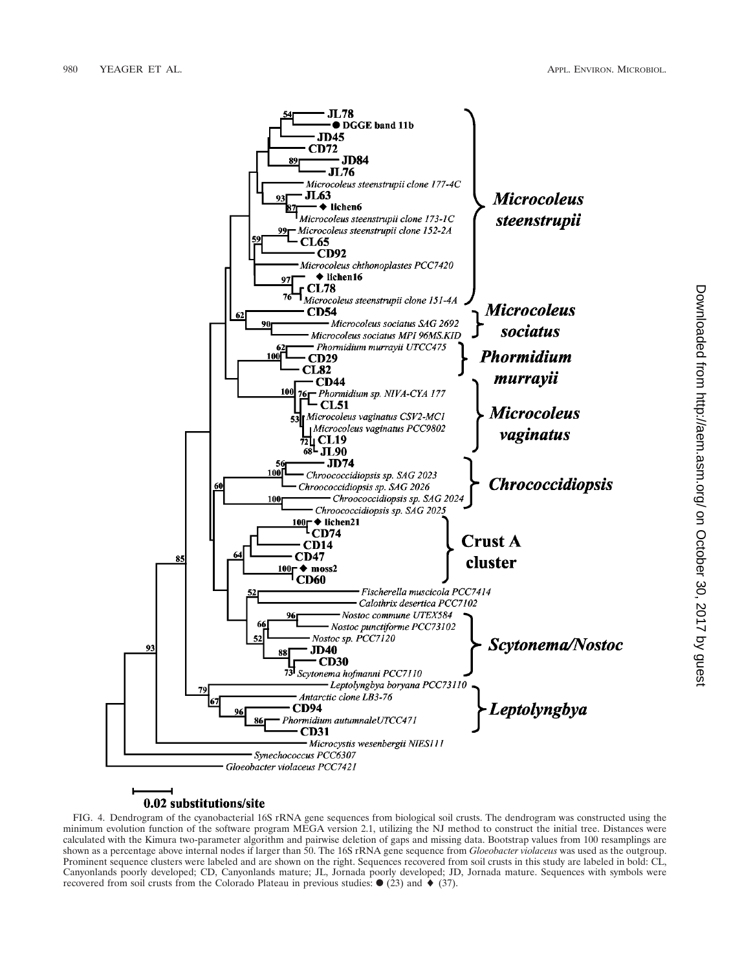

# 0.02 substitutions/site

FIG. 4. Dendrogram of the cyanobacterial 16S rRNA gene sequences from biological soil crusts. The dendrogram was constructed using the minimum evolution function of the software program MEGA version 2.1, utilizing the NJ method to construct the initial tree. Distances were calculated with the Kimura two-parameter algorithm and pairwise deletion of gaps and missing data. Bootstrap values from 100 resamplings are shown as a percentage above internal nodes if larger than 50. The 16S rRNA gene sequence from *Gloeobacter violaceus* was used as the outgroup. Prominent sequence clusters were labeled and are shown on the right. Sequences recovered from soil crusts in this study are labeled in bold: CL, Canyonlands poorly developed; CD, Canyonlands mature; JL, Jornada poorly developed; JD, Jornada mature. Sequences with symbols were recovered from soil crusts from the Colorado Plateau in previous studies:  $\bullet$  (23) and  $\bullet$  (37).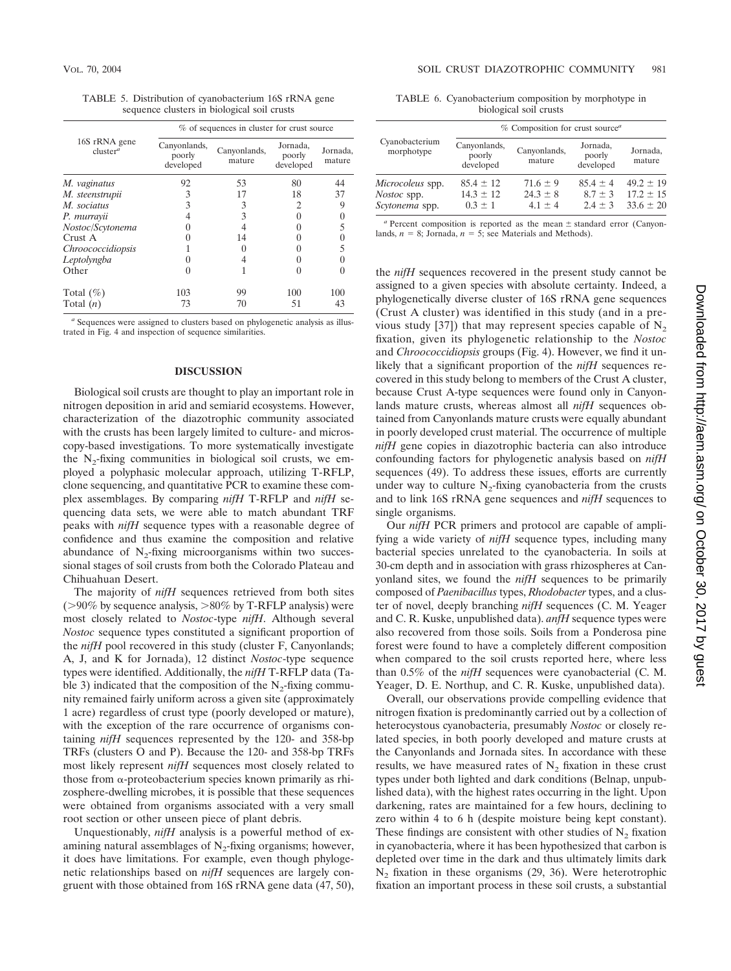TABLE 5. Distribution of cyanobacterium 16S rRNA gene sequence clusters in biological soil crusts

|                                       | % of sequences in cluster for crust source |                        |                                 |                    |
|---------------------------------------|--------------------------------------------|------------------------|---------------------------------|--------------------|
| 16S rRNA gene<br>cluster <sup>a</sup> | Canyonlands,<br>poorly<br>developed        | Canyonlands,<br>mature | Jornada,<br>poorly<br>developed | Jornada,<br>mature |
| M. vaginatus                          | 92                                         | 53                     | 80                              | 44                 |
| M. steenstrupii                       | 3                                          | 17                     | 18                              | 37                 |
| M. sociatus                           | 3                                          | 3                      | 2                               | 9                  |
| P. murrayii                           |                                            | 3                      |                                 |                    |
| Nostoc/Scytonema                      |                                            |                        |                                 | 5                  |
| Crust A                               |                                            | 14                     |                                 |                    |
| Chroococcidiopsis                     |                                            |                        |                                 | 5                  |
| Leptolyngba                           |                                            | 4                      |                                 |                    |
| Other                                 | 0                                          |                        |                                 |                    |
| Total $(\%)$                          | 103                                        | 99                     | 100                             | 100                |
| Total $(n)$                           | 73                                         | 70                     | 51                              | 43                 |

*<sup>a</sup>* Sequences were assigned to clusters based on phylogenetic analysis as illustrated in Fig. 4 and inspection of sequence similarities.

## **DISCUSSION**

Biological soil crusts are thought to play an important role in nitrogen deposition in arid and semiarid ecosystems. However, characterization of the diazotrophic community associated with the crusts has been largely limited to culture- and microscopy-based investigations. To more systematically investigate the  $N_2$ -fixing communities in biological soil crusts, we employed a polyphasic molecular approach, utilizing T-RFLP, clone sequencing, and quantitative PCR to examine these complex assemblages. By comparing *nifH* T-RFLP and *nifH* sequencing data sets, we were able to match abundant TRF peaks with *nifH* sequence types with a reasonable degree of confidence and thus examine the composition and relative abundance of  $N<sub>2</sub>$ -fixing microorganisms within two successional stages of soil crusts from both the Colorado Plateau and Chihuahuan Desert.

The majority of *nifH* sequences retrieved from both sites ( $>90\%$  by sequence analysis,  $>80\%$  by T-RFLP analysis) were most closely related to *Nostoc*-type *nifH*. Although several *Nostoc* sequence types constituted a significant proportion of the *nifH* pool recovered in this study (cluster F, Canyonlands; A, J, and K for Jornada), 12 distinct *Nostoc*-type sequence types were identified. Additionally, the *nifH* T-RFLP data (Table 3) indicated that the composition of the  $N_2$ -fixing community remained fairly uniform across a given site (approximately 1 acre**)** regardless of crust type (poorly developed or mature), with the exception of the rare occurrence of organisms containing *nifH* sequences represented by the 120- and 358-bp TRFs (clusters O and P). Because the 120- and 358-bp TRFs most likely represent *nifH* sequences most closely related to those from  $\alpha$ -proteobacterium species known primarily as rhizosphere-dwelling microbes, it is possible that these sequences were obtained from organisms associated with a very small root section or other unseen piece of plant debris.

Unquestionably, *nifH* analysis is a powerful method of examining natural assemblages of  $N<sub>2</sub>$ -fixing organisms; however, it does have limitations. For example, even though phylogenetic relationships based on *nifH* sequences are largely congruent with those obtained from 16S rRNA gene data (47, 50),

TABLE 6. Cyanobacterium composition by morphotype in biological soil crusts

|                              | % Composition for crust source <sup>a</sup> |                        |                                 |                    |
|------------------------------|---------------------------------------------|------------------------|---------------------------------|--------------------|
| Cyanobacterium<br>morphotype | Canyonlands,<br>poorly<br>developed         | Canyonlands,<br>mature | Jornada,<br>poorly<br>developed | Jornada,<br>mature |
| Microcoleus spp.             | $85.4 \pm 12$                               | $71.6 \pm 9$           | $85.4 + 4$                      | $49.2 \pm 19$      |
| <i>Nostoc</i> spp.           | $14.3 \pm 12$                               | $24.3 \pm 8$           | $8.7 \pm 3$                     | $17.2 \pm 15$      |
| Scytonema spp.               | $0.3 \pm 1$                                 | $4.1 + 4$              | $2.4 + 3$                       | $33.6 \pm 20$      |

 $a$  Percent composition is reported as the mean  $\pm$  standard error (Canyonlands,  $n = 8$ ; Jornada,  $n = 5$ ; see Materials and Methods).

the *nifH* sequences recovered in the present study cannot be assigned to a given species with absolute certainty. Indeed, a phylogenetically diverse cluster of 16S rRNA gene sequences (Crust A cluster) was identified in this study (and in a previous study [37]) that may represent species capable of  $N_2$ fixation, given its phylogenetic relationship to the *Nostoc* and *Chroococcidiopsis* groups (Fig. 4). However, we find it unlikely that a significant proportion of the *nifH* sequences recovered in this study belong to members of the Crust A cluster, because Crust A-type sequences were found only in Canyonlands mature crusts, whereas almost all *nifH* sequences obtained from Canyonlands mature crusts were equally abundant in poorly developed crust material. The occurrence of multiple *nifH* gene copies in diazotrophic bacteria can also introduce confounding factors for phylogenetic analysis based on *nifH* sequences (49). To address these issues, efforts are currently under way to culture  $N_2$ -fixing cyanobacteria from the crusts and to link 16S rRNA gene sequences and *nifH* sequences to single organisms.

Our *nifH* PCR primers and protocol are capable of amplifying a wide variety of *nifH* sequence types, including many bacterial species unrelated to the cyanobacteria. In soils at 30-cm depth and in association with grass rhizospheres at Canyonland sites, we found the *nifH* sequences to be primarily composed of *Paenibacillus* types, *Rhodobacter* types, and a cluster of novel, deeply branching *nifH* sequences (C. M. Yeager and C. R. Kuske, unpublished data). *anfH* sequence types were also recovered from those soils. Soils from a Ponderosa pine forest were found to have a completely different composition when compared to the soil crusts reported here, where less than 0.5% of the *nifH* sequences were cyanobacterial (C. M. Yeager, D. E. Northup, and C. R. Kuske, unpublished data).

Overall, our observations provide compelling evidence that nitrogen fixation is predominantly carried out by a collection of heterocystous cyanobacteria, presumably *Nostoc* or closely related species, in both poorly developed and mature crusts at the Canyonlands and Jornada sites. In accordance with these results, we have measured rates of  $N<sub>2</sub>$  fixation in these crust types under both lighted and dark conditions (Belnap, unpublished data), with the highest rates occurring in the light. Upon darkening, rates are maintained for a few hours, declining to zero within 4 to 6 h (despite moisture being kept constant). These findings are consistent with other studies of  $N_2$  fixation in cyanobacteria, where it has been hypothesized that carbon is depleted over time in the dark and thus ultimately limits dark  $N_2$  fixation in these organisms (29, 36). Were heterotrophic fixation an important process in these soil crusts, a substantial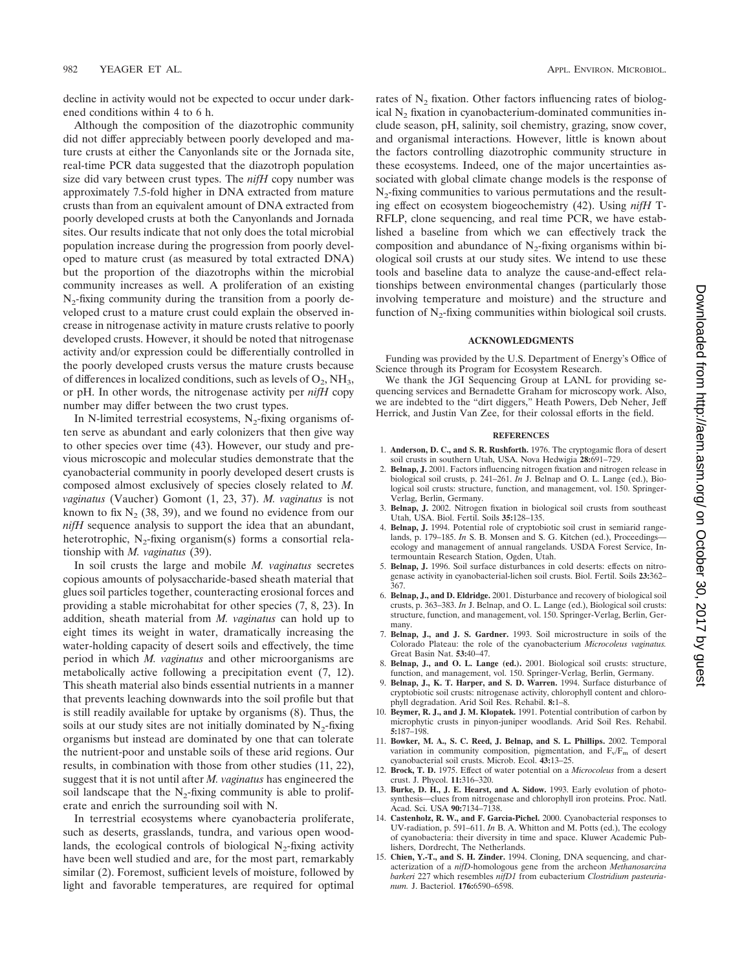decline in activity would not be expected to occur under darkened conditions within 4 to 6 h.

Although the composition of the diazotrophic community did not differ appreciably between poorly developed and mature crusts at either the Canyonlands site or the Jornada site, real-time PCR data suggested that the diazotroph population size did vary between crust types. The *nifH* copy number was approximately 7.5-fold higher in DNA extracted from mature crusts than from an equivalent amount of DNA extracted from poorly developed crusts at both the Canyonlands and Jornada sites. Our results indicate that not only does the total microbial population increase during the progression from poorly developed to mature crust (as measured by total extracted DNA) but the proportion of the diazotrophs within the microbial community increases as well. A proliferation of an existing  $N<sub>2</sub>$ -fixing community during the transition from a poorly developed crust to a mature crust could explain the observed increase in nitrogenase activity in mature crusts relative to poorly developed crusts. However, it should be noted that nitrogenase activity and/or expression could be differentially controlled in the poorly developed crusts versus the mature crusts because of differences in localized conditions, such as levels of  $O_2$ , NH<sub>3</sub>, or pH. In other words, the nitrogenase activity per *nifH* copy number may differ between the two crust types.

In N-limited terrestrial ecosystems,  $N_2$ -fixing organisms often serve as abundant and early colonizers that then give way to other species over time (43). However, our study and previous microscopic and molecular studies demonstrate that the cyanobacterial community in poorly developed desert crusts is composed almost exclusively of species closely related to *M. vaginatus* (Vaucher) Gomont (1, 23, 37). *M. vaginatus* is not known to fix  $N<sub>2</sub>$  (38, 39), and we found no evidence from our *nifH* sequence analysis to support the idea that an abundant, heterotrophic,  $N_2$ -fixing organism(s) forms a consortial relationship with *M. vaginatus* (39).

In soil crusts the large and mobile *M. vaginatus* secretes copious amounts of polysaccharide-based sheath material that glues soil particles together, counteracting erosional forces and providing a stable microhabitat for other species (7, 8, 23). In addition, sheath material from *M. vaginatus* can hold up to eight times its weight in water, dramatically increasing the water-holding capacity of desert soils and effectively, the time period in which *M. vaginatus* and other microorganisms are metabolically active following a precipitation event (7, 12). This sheath material also binds essential nutrients in a manner that prevents leaching downwards into the soil profile but that is still readily available for uptake by organisms (8). Thus, the soils at our study sites are not initially dominated by  $N_2$ -fixing organisms but instead are dominated by one that can tolerate the nutrient-poor and unstable soils of these arid regions. Our results, in combination with those from other studies (11, 22), suggest that it is not until after *M. vaginatus* has engineered the soil landscape that the  $N_2$ -fixing community is able to proliferate and enrich the surrounding soil with N.

In terrestrial ecosystems where cyanobacteria proliferate, such as deserts, grasslands, tundra, and various open woodlands, the ecological controls of biological  $N<sub>2</sub>$ -fixing activity have been well studied and are, for the most part, remarkably similar (2). Foremost, sufficient levels of moisture, followed by light and favorable temperatures, are required for optimal rates of N<sub>2</sub> fixation. Other factors influencing rates of biological  $N<sub>2</sub>$  fixation in cyanobacterium-dominated communities include season, pH, salinity, soil chemistry, grazing, snow cover, and organismal interactions. However, little is known about the factors controlling diazotrophic community structure in these ecosystems. Indeed, one of the major uncertainties associated with global climate change models is the response of  $N_2$ -fixing communities to various permutations and the resulting effect on ecosystem biogeochemistry (42). Using *nifH* T-RFLP, clone sequencing, and real time PCR, we have established a baseline from which we can effectively track the composition and abundance of  $N<sub>2</sub>$ -fixing organisms within biological soil crusts at our study sites. We intend to use these tools and baseline data to analyze the cause-and-effect relationships between environmental changes (particularly those involving temperature and moisture) and the structure and function of  $N<sub>2</sub>$ -fixing communities within biological soil crusts.

### **ACKNOWLEDGMENTS**

Funding was provided by the U.S. Department of Energy's Office of Science through its Program for Ecosystem Research.

We thank the JGI Sequencing Group at LANL for providing sequencing services and Bernadette Graham for microscopy work. Also, we are indebted to the "dirt diggers," Heath Powers, Deb Neher, Jeff Herrick, and Justin Van Zee, for their colossal efforts in the field.

### **REFERENCES**

- 1. **Anderson, D. C., and S. R. Rushforth.** 1976. The cryptogamic flora of desert soil crusts in southern Utah, USA. Nova Hedwigia **28:**691–729.
- 2. **Belnap, J.** 2001. Factors influencing nitrogen fixation and nitrogen release in biological soil crusts, p. 241–261. *In* J. Belnap and O. L. Lange (ed.), Biological soil crusts: structure, function, and management, vol. 150. Springer-Verlag, Berlin, Germany.
- 3. **Belnap, J.** 2002. Nitrogen fixation in biological soil crusts from southeast Utah, USA. Biol. Fertil. Soils **35:**128–135.
- 4. **Belnap, J.** 1994. Potential role of cryptobiotic soil crust in semiarid rangelands, p. 179–185. *In* S. B. Monsen and S. G. Kitchen (ed.), Proceedings ecology and management of annual rangelands. USDA Forest Service, Intermountain Research Station, Ogden, Utah.
- 5. **Belnap, J.** 1996. Soil surface disturbances in cold deserts: effects on nitrogenase activity in cyanobacterial-lichen soil crusts. Biol. Fertil. Soils **23:**362– 367.
- 6. **Belnap, J., and D. Eldridge.** 2001. Disturbance and recovery of biological soil crusts, p. 363–383. *In* J. Belnap, and O. L. Lange (ed.), Biological soil crusts: structure, function, and management, vol. 150. Springer-Verlag, Berlin, Germany.
- 7. **Belnap, J., and J. S. Gardner.** 1993. Soil microstructure in soils of the Colorado Plateau: the role of the cyanobacterium *Microcoleus vaginatus.* Great Basin Nat. **53:**40–47.
- 8. **Belnap, J., and O. L. Lange (ed.).** 2001. Biological soil crusts: structure, function, and management, vol. 150. Springer-Verlag, Berlin, Germany.
- 9. **Belnap, J., K. T. Harper, and S. D. Warren.** 1994. Surface disturbance of cryptobiotic soil crusts: nitrogenase activity, chlorophyll content and chlorophyll degradation. Arid Soil Res. Rehabil. **8:**1–8.
- 10. **Beymer, R. J., and J. M. Klopatek.** 1991. Potential contribution of carbon by microphytic crusts in pinyon-juniper woodlands. Arid Soil Res. Rehabil. **5:**187–198.
- 11. **Bowker, M. A., S. C. Reed, J. Belnap, and S. L. Phillips.** 2002. Temporal variation in community composition, pigmentation, and  $F_v/F_m$  of desert cyanobacterial soil crusts. Microb. Ecol. **43:**13–25.
- 12. **Brock, T. D.** 1975. Effect of water potential on a *Microcoleus* from a desert crust. J. Phycol. **11:**316–320.
- 13. **Burke, D. H., J. E. Hearst, and A. Sidow.** 1993. Early evolution of photosynthesis—clues from nitrogenase and chlorophyll iron proteins. Proc. Natl. Acad. Sci. USA **90:**7134–7138.
- 14. **Castenholz, R. W., and F. Garcia-Pichel.** 2000. Cyanobacterial responses to UV-radiation, p. 591–611. *In* B. A. Whitton and M. Potts (ed.), The ecology of cyanobacteria: their diversity in time and space. Kluwer Academic Publishers, Dordrecht, The Netherlands.
- 15. **Chien, Y.-T., and S. H. Zinder.** 1994. Cloning, DNA sequencing, and characterization of a *nifD*-homologous gene from the archeon *Methanosarcina barkeri* 227 which resembles *nifD1* from eubacterium *Clostridium pasteurianum.* J. Bacteriol. **176:**6590–6598.